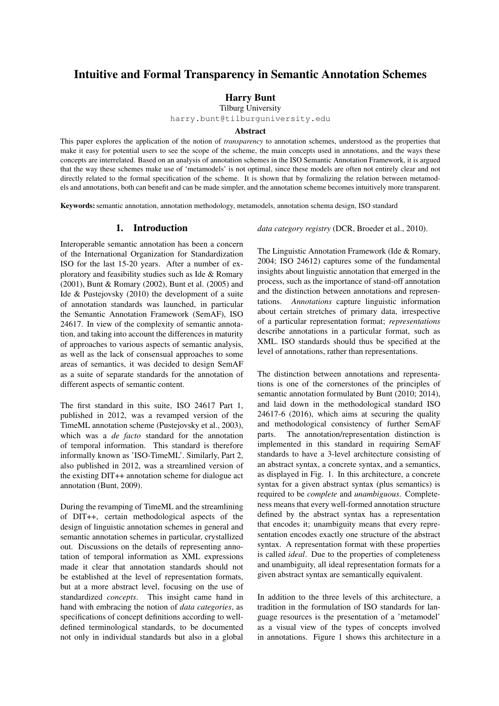# Intuitive and Formal Transparency in Semantic Annotation Schemes

## Harry Bunt

Tilburg University

harry.bunt@tilburguniversity.edu

#### Abstract

This paper explores the application of the notion of *transparency* to annotation schemes, understood as the properties that make it easy for potential users to see the scope of the scheme, the main concepts used in annotations, and the ways these concepts are interrelated. Based on an analysis of annotation schemes in the ISO Semantic Annotation Framework, it is argued that the way these schemes make use of 'metamodels' is not optimal, since these models are often not entirely clear and not directly related to the formal specification of the scheme. It is shown that by formalizing the relation between metamodels and annotations, both can benefit and can be made simpler, and the annotation scheme becomes intuitively more transparent.

Keywords: semantic annotation, annotation methodology, metamodels, annotation schema design, ISO standard

#### 1. Introduction

Interoperable semantic annotation has been a concern of the International Organization for Standardization ISO for the last 15-20 years. After a number of exploratory and feasibility studies such as Ide & Romary (2001), Bunt & Romary (2002), Bunt et al. (2005) and Ide & Pustejovsky (2010) the development of a suite of annotation standards was launched, in particular the Semantic Annotation Framework (SemAF), ISO 24617. In view of the complexity of semantic annotation, and taking into account the differences in maturity of approaches to various aspects of semantic analysis, as well as the lack of consensual approaches to some areas of semantics, it was decided to design SemAF as a suite of separate standards for the annotation of different aspects of semantic content.

The first standard in this suite, ISO 24617 Part 1, published in 2012, was a revamped version of the TimeML annotation scheme (Pustejovsky et al., 2003), which was a *de facto* standard for the annotation of temporal information. This standard is therefore informally known as 'ISO-TimeML'. Similarly, Part 2, also published in 2012, was a streamlined version of the existing DIT++ annotation scheme for dialogue act annotation (Bunt, 2009).

During the revamping of TimeML and the streamlining of DIT++, certain methodological aspects of the design of linguistic annotation schemes in general and semantic annotation schemes in particular, crystallized out. Discussions on the details of representing annotation of temporal information as XML expressions made it clear that annotation standards should not be established at the level of representation formats, but at a more abstract level, focusing on the use of standardized *concepts*. This insight came hand in hand with embracing the notion of *data categories*, as specifications of concept definitions according to welldefined terminological standards, to be documented not only in individual standards but also in a global *data category registry* (DCR, Broeder et al., 2010).

The Linguistic Annotation Framework (Ide & Romary, 2004; ISO 24612) captures some of the fundamental insights about linguistic annotation that emerged in the process, such as the importance of stand-off annotation and the distinction between annotations and representations. *Annotations* capture linguistic information about certain stretches of primary data, irrespective of a particular representation format; *representations* describe annotations in a particular format, such as XML. ISO standards should thus be specified at the level of annotations, rather than representations.

The distinction between annotations and representations is one of the cornerstones of the principles of semantic annotation formulated by Bunt (2010; 2014), and laid down in the methodological standard ISO 24617-6 (2016), which aims at securing the quality and methodological consistency of further SemAF parts. The annotation/representation distinction is implemented in this standard in requiring SemAF standards to have a 3-level architecture consisting of an abstract syntax, a concrete syntax, and a semantics, as displayed in Fig. 1. In this architecture, a concrete syntax for a given abstract syntax (plus semantics) is required to be *complete* and *unambiguous*. Completeness means that every well-formed annotation structure defined by the abstract syntax has a representation that encodes it; unambiguity means that every representation encodes exactly one structure of the abstract syntax. A representation format with these properties is called *ideal*. Due to the properties of completeness and unambiguity, all ideal representation formats for a given abstract syntax are semantically equivalent.

In addition to the three levels of this architecture, a tradition in the formulation of ISO standards for language resources is the presentation of a 'metamodel' as a visual view of the types of concepts involved in annotations. Figure 1 shows this architecture in a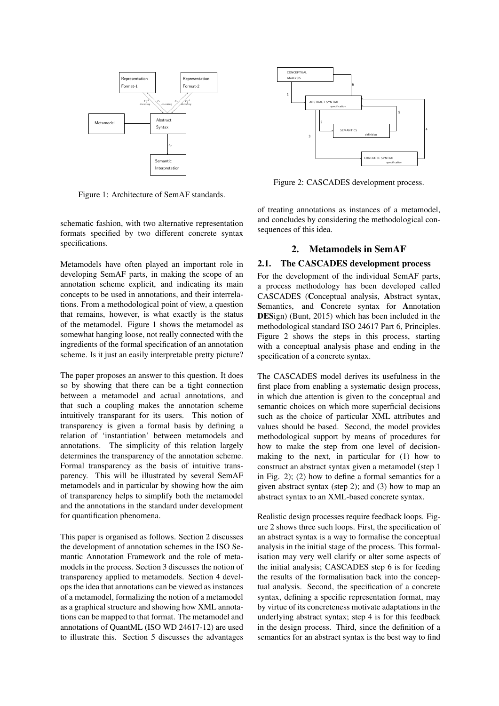

Figure 1: Architecture of SemAF standards.

schematic fashion, with two alternative representation formats specified by two different concrete syntax specifications.

Metamodels have often played an important role in developing SemAF parts, in making the scope of an annotation scheme explicit, and indicating its main concepts to be used in annotations, and their interrelations. From a methodological point of view, a question that remains, however, is what exactly is the status of the metamodel. Figure 1 shows the metamodel as somewhat hanging loose, not really connected with the ingredients of the formal specification of an annotation scheme. Is it just an easily interpretable pretty picture?

The paper proposes an answer to this question. It does so by showing that there can be a tight connection between a metamodel and actual annotations, and that such a coupling makes the annotation scheme intuitively transparant for its users. This notion of transparency is given a formal basis by defining a relation of 'instantiation' between metamodels and annotations. The simplicity of this relation largely determines the transparency of the annotation scheme. Formal transparency as the basis of intuitive transparency. This will be illustrated by several SemAF metamodels and in particular by showing how the aim of transparency helps to simplify both the metamodel and the annotations in the standard under development for quantification phenomena.

This paper is organised as follows. Section 2 discusses the development of annotation schemes in the ISO Semantic Annotation Framework and the role of metamodels in the process. Section 3 discusses the notion of transparency applied to metamodels. Section 4 develops the idea that annotations can be viewed as instances of a metamodel, formalizing the notion of a metamodel as a graphical structure and showing how XML annotations can be mapped to that format. The metamodel and annotations of QuantML (ISO WD 24617-12) are used to illustrate this. Section 5 discusses the advantages



Figure 2: CASCADES development process.

of treating annotations as instances of a metamodel, and concludes by considering the methodological consequences of this idea.

### 2. Metamodels in SemAF

#### 2.1. The CASCADES development process

For the development of the individual SemAF parts, a process methodology has been developed called CASCADES (Conceptual analysis, Abstract syntax, Semantics, and Concrete syntax for Annotation DESign) (Bunt, 2015) which has been included in the methodological standard ISO 24617 Part 6, Principles. Figure 2 shows the steps in this process, starting with a conceptual analysis phase and ending in the specification of a concrete syntax.

The CASCADES model derives its usefulness in the first place from enabling a systematic design process, in which due attention is given to the conceptual and semantic choices on which more superficial decisions such as the choice of particular XML attributes and values should be based. Second, the model provides methodological support by means of procedures for how to make the step from one level of decisionmaking to the next, in particular for (1) how to construct an abstract syntax given a metamodel (step 1 in Fig. 2); (2) how to define a formal semantics for a given abstract syntax (step 2); and (3) how to map an abstract syntax to an XML-based concrete syntax.

Realistic design processes require feedback loops. Figure 2 shows three such loops. First, the specification of an abstract syntax is a way to formalise the conceptual analysis in the initial stage of the process. This formalisation may very well clarify or alter some aspects of the initial analysis; CASCADES step 6 is for feeding the results of the formalisation back into the conceptual analysis. Second, the specification of a concrete syntax, defining a specific representation format, may by virtue of its concreteness motivate adaptations in the underlying abstract syntax; step 4 is for this feedback in the design process. Third, since the definition of a semantics for an abstract syntax is the best way to find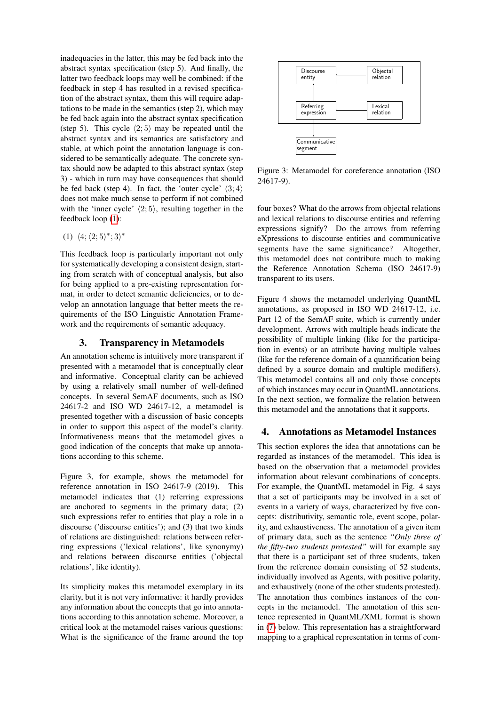inadequacies in the latter, this may be fed back into the abstract syntax specification (step 5). And finally, the latter two feedback loops may well be combined: if the feedback in step 4 has resulted in a revised specification of the abstract syntax, them this will require adaptations to be made in the semantics (step 2), which may be fed back again into the abstract syntax specification (step 5). This cycle  $\langle 2; 5 \rangle$  may be repeated until the abstract syntax and its semantics are satisfactory and stable, at which point the annotation language is considered to be semantically adequate. The concrete syntax should now be adapted to this abstract syntax (step 3) - which in turn may have consequences that should be fed back (step 4). In fact, the 'outer cycle'  $\langle 3; 4 \rangle$ does not make much sense to perform if not combined with the 'inner cycle'  $\langle 2; 5 \rangle$ , resulting together in the feedback loop [\(1\)](#page-2-0):

<span id="page-2-0"></span>(1)  $\langle 4; \langle 2; 5 \rangle^*; 3 \rangle^*$ 

This feedback loop is particularly important not only for systematically developing a consistent design, starting from scratch with of conceptual analysis, but also for being applied to a pre-existing representation format, in order to detect semantic deficiencies, or to develop an annotation language that better meets the requirements of the ISO Linguistic Annotation Framework and the requirements of semantic adequacy.

#### 3. Transparency in Metamodels

An annotation scheme is intuitively more transparent if presented with a metamodel that is conceptually clear and informative. Conceptual clarity can be achieved by using a relatively small number of well-defined concepts. In several SemAF documents, such as ISO 24617-2 and ISO WD 24617-12, a metamodel is presented together with a discussion of basic concepts in order to support this aspect of the model's clarity. Informativeness means that the metamodel gives a good indication of the concepts that make up annotations according to this scheme.

Figure 3, for example, shows the metamodel for reference annotation in ISO 24617-9 (2019). This metamodel indicates that (1) referring expressions are anchored to segments in the primary data; (2) such expressions refer to entities that play a role in a discourse ('discourse entities'); and (3) that two kinds of relations are distinguished: relations between referring expressions ('lexical relations', like synonymy) and relations between discourse entities ('objectal relations', like identity).

Its simplicity makes this metamodel exemplary in its clarity, but it is not very informative: it hardly provides any information about the concepts that go into annotations according to this annotation scheme. Moreover, a critical look at the metamodel raises various questions: What is the significance of the frame around the top



Figure 3: Metamodel for coreference annotation (ISO 24617-9).

four boxes? What do the arrows from objectal relations and lexical relations to discourse entities and referring expressions signify? Do the arrows from referring eXpressions to discourse entities and communicative segments have the same significance? Altogether, this metamodel does not contribute much to making the Reference Annotation Schema (ISO 24617-9) transparent to its users.

Figure 4 shows the metamodel underlying QuantML annotations, as proposed in ISO WD 24617-12, i.e. Part 12 of the SemAF suite, which is currently under development. Arrows with multiple heads indicate the possibility of multiple linking (like for the participation in events) or an attribute having multiple values (like for the reference domain of a quantification being defined by a source domain and multiple modifiers). This metamodel contains all and only those concepts of which instances may occur in QuantML annotations. In the next section, we formalize the relation between this metamodel and the annotations that it supports.

#### 4. Annotations as Metamodel Instances

This section explores the idea that annotations can be regarded as instances of the metamodel. This idea is based on the observation that a metamodel provides information about relevant combinations of concepts. For example, the QuantML metamodel in Fig. 4 says that a set of participants may be involved in a set of events in a variety of ways, characterized by five concepts: distributivity, semantic role, event scope, polarity, and exhaustiveness. The annotation of a given item of primary data, such as the sentence *"Only three of the fifty-two students protested"* will for example say that there is a participant set of three students, taken from the reference domain consisting of 52 students, individually involved as Agents, with positive polarity, and exhaustively (none of the other students protested). The annotation thus combines instances of the concepts in the metamodel. The annotation of this sentence represented in QuantML/XML format is shown in [\(7\)](#page-4-0) below. This representation has a straightforward mapping to a graphical representation in terms of com-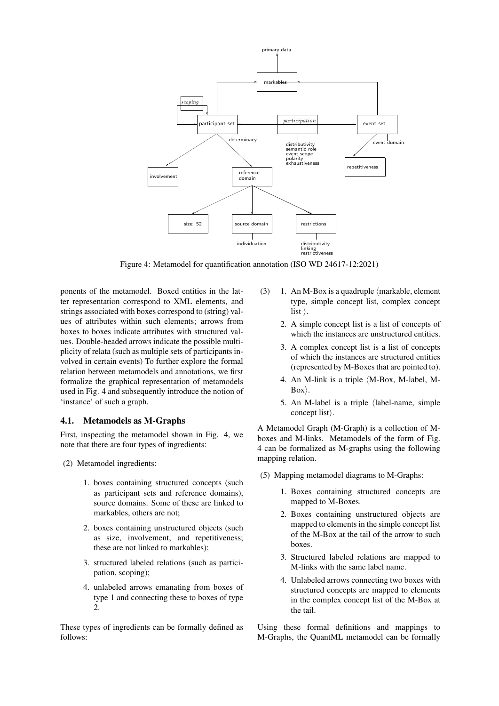

Figure 4: Metamodel for quantification annotation (ISO WD 24617-12:2021)

ponents of the metamodel. Boxed entities in the latter representation correspond to XML elements, and strings associated with boxes correspond to (string) values of attributes within such elements; arrows from boxes to boxes indicate attributes with structured values. Double-headed arrows indicate the possible multiplicity of relata (such as multiple sets of participants involved in certain events) To further explore the formal relation between metamodels and annotations, we first formalize the graphical representation of metamodels used in Fig. 4 and subsequently introduce the notion of 'instance' of such a graph.

#### 4.1. Metamodels as M-Graphs

First, inspecting the metamodel shown in Fig. 4, we note that there are four types of ingredients:

- (2) Metamodel ingredients:
	- 1. boxes containing structured concepts (such as participant sets and reference domains), source domains. Some of these are linked to markables, others are not;
	- 2. boxes containing unstructured objects (such as size, involvement, and repetitiveness; these are not linked to markables);
	- 3. structured labeled relations (such as participation, scoping);
	- 4. unlabeled arrows emanating from boxes of type 1 and connecting these to boxes of type 2.

These types of ingredients can be formally defined as follows:

- (3) 1. An M-Box is a quadruple  $\langle$  markable, element type, simple concept list, complex concept list  $\mathcal{E}$ .
	- 2. A simple concept list is a list of concepts of which the instances are unstructured entities.
	- 3. A complex concept list is a list of concepts of which the instances are structured entities (represented by M-Boxes that are pointed to).
	- 4. An M-link is a triple  $(M-Box, M-label, M-<sub>-</sub>)$  $Box$ ).
	- 5. An M-label is a triple  $\langle$ label-name, simple concept list.

A Metamodel Graph (M-Graph) is a collection of Mboxes and M-links. Metamodels of the form of Fig. 4 can be formalized as M-graphs using the following mapping relation.

- <span id="page-3-0"></span>(5) Mapping metamodel diagrams to M-Graphs:
	- 1. Boxes containing structured concepts are mapped to M-Boxes.
	- 2. Boxes containing unstructured objects are mapped to elements in the simple concept list of the M-Box at the tail of the arrow to such boxes.
	- 3. Structured labeled relations are mapped to M-links with the same label name.
	- 4. Unlabeled arrows connecting two boxes with structured concepts are mapped to elements in the complex concept list of the M-Box at the tail.

Using these formal definitions and mappings to M-Graphs, the QuantML metamodel can be formally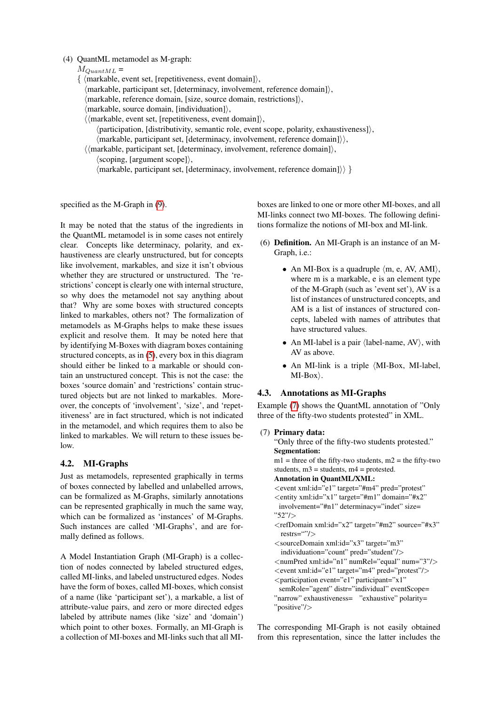#### (4) QuantML metamodel as M-graph:

- $M_{QuantML}$  =
- $\{ \langle \text{markable}, \text{event set}, \text{frepetitiveness}, \text{event domain} \rangle,$ 
	- $\langle$ markable, participant set, [determinacy, involvement, reference domain] $\rangle$ ,
	- $\langle$ markable, reference domain, [size, source domain, restrictions] $\rangle$ ,
	- $\langle$ markable, source domain, [individuation] $\rangle$ ,
	- $\langle \langle$  markable, event set, [repetitiveness, event domain]),
		- $\langle$  participation, [distributivity, semantic role, event scope, polarity, exhaustiveness] $\rangle$ ,  $\langle$ markable, participant set, [determinacy, involvement, reference domain] $\rangle$ ,
	- $\langle \langle$ markable, participant set, [determinacy, involvement, reference domain]),  $\langle$ scoping, [argument scope] $\rangle$ ,
		- $\langle$ markable, participant set, [determinacy, involvement, reference domain] $\rangle$ }

specified as the M-Graph in [\(9\)](#page-5-0).

It may be noted that the status of the ingredients in the QuantML metamodel is in some cases not entirely clear. Concepts like determinacy, polarity, and exhaustiveness are clearly unstructured, but for concepts like involvement, markables, and size it isn't obvious whether they are structured or unstructured. The 'restrictions' concept is clearly one with internal structure, so why does the metamodel not say anything about that? Why are some boxes with structured concepts linked to markables, others not? The formalization of metamodels as M-Graphs helps to make these issues explicit and resolve them. It may be noted here that by identifying M-Boxes with diagram boxes containing structured concepts, as in [\(5\)](#page-3-0), every box in this diagram should either be linked to a markable or should contain an unstructured concept. This is not the case: the boxes 'source domain' and 'restrictions' contain structured objects but are not linked to markables. Moreover, the concepts of 'involvement', 'size', and 'repetitiveness' are in fact structured, which is not indicated in the metamodel, and which requires them to also be linked to markables. We will return to these issues below.

### 4.2. MI-Graphs

Just as metamodels, represented graphically in terms of boxes connected by labelled and unlabelled arrows, can be formalized as M-Graphs, similarly annotations can be represented graphically in much the same way, which can be formalized as 'instances' of M-Graphs. Such instances are called 'MI-Graphs', and are formally defined as follows.

A Model Instantiation Graph (MI-Graph) is a collection of nodes connected by labeled structured edges, called MI-links, and labeled unstructured edges. Nodes have the form of boxes, called MI-boxes, which consist of a name (like 'participant set'), a markable, a list of attribute-value pairs, and zero or more directed edges labeled by attribute names (like 'size' and 'domain') which point to other boxes. Formally, an MI-Graph is a collection of MI-boxes and MI-links such that all MI- boxes are linked to one or more other MI-boxes, and all MI-links connect two MI-boxes. The following definitions formalize the notions of MI-box and MI-link.

- (6) Definition. An MI-Graph is an instance of an M-Graph, i.e.:
	- An MI-Box is a quadruple  $\langle m, e, AV, AMI \rangle$ , where m is a markable, e is an element type of the M-Graph (such as 'event set'), AV is a list of instances of unstructured concepts, and AM is a list of instances of structured concepts, labeled with names of attributes that have structured values.
	- An MI-label is a pair  $\langle$ label-name, AV $\rangle$ , with AV as above.
	- An MI-link is a triple  $\langle$ MI-Box, MI-label,  $MI-Box\rangle.$

### 4.3. Annotations as MI-Graphs

Example [\(7\)](#page-4-0) shows the QuantML annotation of "Only three of the fifty-two students protested" in XML.

#### <span id="page-4-0"></span>(7) Primary data:

```
"Only three of the fifty-two students protested."
Segmentation:
ml = three of the fifty-two students, m2 = the fifty-two
students, m3 = students, m4 = protested.
Annotation in QuantML/XML:
<event xml:id="e1" target="#m4" pred="protest"
<entity xml:id="x1" target="#m1" domain="#x2"
 involvement="#n1" determinacy="indet" size=
"52"/>
<refDomain xml:id="x2" target="#m2" source="#x3"
 restrs=""/>
<sourceDomain xml:id="x3" target="m3"
 individuation="count" pred="student"/>
<numPred xml:id="n1" numRel="equal" num="3"/>
<event xml:id="e1" target="m4" pred="protest"/>
<participation event="e1" participant="x1"
 semRole="agent" distr="individual" eventScope=
"narrow" exhaustiveness= "exhaustive" polarity=
"positive"/>
```
The corresponding MI-Graph is not easily obtained from this representation, since the latter includes the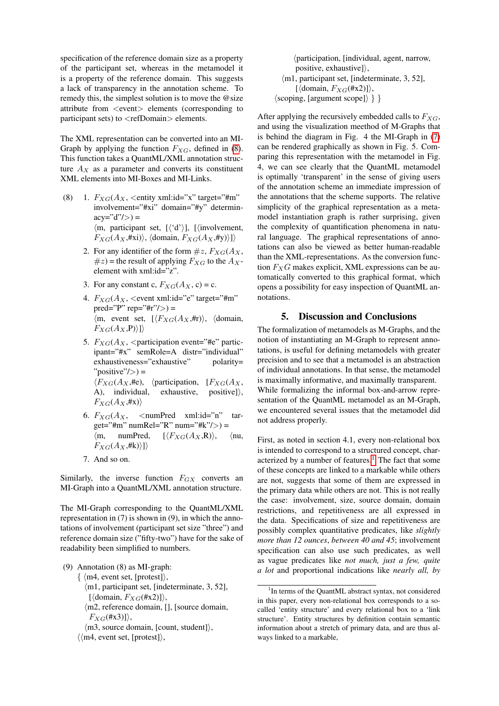specification of the reference domain size as a property of the participant set, whereas in the metamodel it is a property of the reference domain. This suggests a lack of transparency in the annotation scheme. To remedy this, the simplest solution is to move the @size attribute from <event> elements (corresponding to participant sets) to <refDomain> elements.

The XML representation can be converted into an MI-Graph by applying the function  $F_{XG}$ , defined in [\(8\)](#page-5-1). This function takes a QuantML/XML annotation structure  $A_X$  as a parameter and converts its constituent XML elements into MI-Boxes and MI-Links.

- <span id="page-5-1"></span>(8) 1.  $F_{XG}(A_X, \text{~centity } xml:id='x" \text{~target='#m"})$ involvement="#xi" domain="#y" determin $acy="d"/\rangle =$  $\langle m, \text{ participant set}, \lceil \langle d' \rangle \rceil, \lceil \langle \text{involvement}, \rceil \rangle$  $F_{XG}(A_X,\#xi)\rangle$ , (domain,  $F_{XG}(A_X,\#y)\rangle\rangle$ 
	- 2. For any identifier of the form  $\#z$ ,  $F_{XG}(A_X)$ ,  $#z$ ) = the result of applying  $F_{XG}$  to the  $A_X$ element with xml:id="z".
	- 3. For any constant c,  $F_{XG}(A_X, c) = c$ .
	- 4.  $F_{XG}(A_X, \text{$ pred="P" rep="#r" $\left| \right\rangle$ ) =  $\langle m,$  event set,  $[\langle F_{XG}(A_{X}, H_{\text{r}})\rangle, \langle \text{domain},$  $F_{XG}(A_X, P))\}\rangle$
	- 5.  $F_{XG}(A_X, \leq)$  participation event="#e" participant="#x" semRole=A distr="individual" exhaustiveness="exhaustive" polarity=  $"positive"$  =  $\langle F_{XG}(A_X, \text{He}), \rangle$  (participation,  $[F_{XG}(A_X, \text{He})]$ A), individual, exhaustive, positive] $\rangle$ ,  $F_{XG}(A_X, \#X)$
	- 6.  $F_{XG}(A_X, \ldots)$  < numPred xml:id="n" target="#m" numRel="R" num="#k"/>) =  $\langle m, \quad \text{numPred}, \quad [\langle F_{XG}(A_X, \mathbf{R}) \rangle, \quad \langle \text{nu}, \rangle$  $F_{XG}(A_X,\#k)\rangle$ ])
	- 7. And so on.

Similarly, the inverse function  $F_{GX}$  converts an MI-Graph into a QuantML/XML annotation structure.

The MI-Graph corresponding to the QuantML/XML representation in (7) is shown in (9), in which the annotations of involvement (participant set size "three") and reference domain size ("fifty-two") have for the sake of readability been simplified to numbers.

- <span id="page-5-0"></span>(9) Annotation (8) as MI-graph:
	- $\{ \langle m4, event set, [protest] \rangle,$ 
		- $\langle$ m1, participant set, [indeterminate, 3, 52],  $\lceil$  (domain,  $F_{XG}(\#x2)\rceil$ ),
		- $\langle$ m2, reference domain, [], [source domain,  $F_{XG}(\#x3)\},$
	- $\langle$ m3, source domain, [count, student] $\rangle$ ,
	- $\langle \langle m4,$  event set, [protest] $\rangle$ ,

 $\langle$  participation, [individual, agent, narrow, positive, exhaustive] $\rangle$ ,  $\langle$ m1, participant set, [indeterminate, 3, 52],  $\lceil$  (domain,  $F_{XG}(\#x2)\rceil$ ),  $\langle \text{scoping}, \text{[argument scope]} \rangle \}$ 

After applying the recursively embedded calls to  $F_{XG}$ , and using the visualization meethod of M-Graphs that is behind the diagram in Fig. 4 the MI-Graph in [\(7\)](#page-4-0) can be rendered graphically as shown in Fig. 5. Comparing this representation with the metamodel in Fig. 4, we can see clearly that the QuantML metamodel is optimally 'transparent' in the sense of giving users of the annotation scheme an immediate impression of the annotations that the scheme supports. The relative simplicity of the graphical representation as a metamodel instantiation graph is rather surprising, given the complexity of quantification phenomena in natural language. The graphical representations of annotations can also be viewed as better human-readable than the XML-representations. As the conversion function  $F_XG$  makes explicit, XML expressions can be automatically converted to this graphical format, which opens a possibility for easy inspection of QuantML annotations.

#### 5. Discussion and Conclusions

<span id="page-5-3"></span>The formalization of metamodels as M-Graphs, and the notion of instantiating an M-Graph to represent annotations, is useful for defining metamodels with greater precision and to see that a metamodel is an abstraction of individual annotations. In that sense, the metamodel is maximally informative, and maximally transparent. While formalizing the informal box-and-arrow representation of the QuantML metamodel as an M-Graph, we encountered several issues that the metamodel did not address properly.

First, as noted in section 4.1, every non-relational box is intended to correspond to a structured concept, char-acterized by a number of features.<sup>[1](#page-5-2)</sup> The fact that some of these concepts are linked to a markable while others are not, suggests that some of them are expressed in the primary data while others are not. This is not really the case: involvement, size, source domain, domain restrictions, and repetitiveness are all expressed in the data. Specifications of size and repetitiveness are possibly complex quantitative predicates, like *slightly more than 12 ounces*, *between 40 and 45*; involvement specification can also use such predicates, as well as vague predicates like *not much, just a few, quite a lot* and proportional indications like *nearly all, by*

<span id="page-5-2"></span><sup>&</sup>lt;sup>1</sup>In terms of the QuantML abstract syntax, not considered in this paper, every non-relational box corresponds to a socalled 'entity structure' and every relational box to a 'link structure'. Entity structures by definition contain semantic information about a stretch of primary data, and are thus always linked to a markable,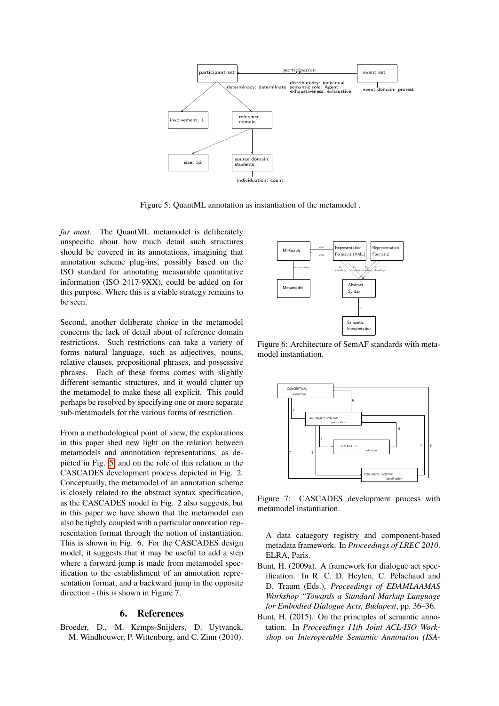

Figure 5: QuantML annotation as instantiation of the metamodel .

*far most*. The QuantML metamodel is deliberately unspecific about how much detail such structures should be covered in its annotations, imagining that annotation scheme plug-ins, possibly based on the ISO standard for annotating measurable quantitative information (ISO 2417-9XX), could be added on for this purpose. Where this is a viable strategy remains to be seen.

Second, another deliberate choice in the metamodel concerns the lack of detail about of reference domain restrictions. Such restrictions can take a variety of forms natural language, such as adjectives, nouns, relative clauses, prepositional phrases, and possessive phrases. Each of these forms comes with slightly different semantic structures, and it would clutter up the metamodel to make these all explicit. This could perhaps be resolved by specifying one or more separate sub-metamodels for the various forms of restriction.

From a methodological point of view, the explorations in this paper shed new light on the relation between metamodels and annnotation representations, as depicted in Fig. [5,](#page-5-3) and on the role of this relation in the CASCADES development process depicted in Fig. 2. Conceptually, the metamodel of an annotation scheme is closely related to the abstract syntax specification, as the CASCADES model in Fig. 2 also suggests, but in this paper we have shown that the metamodel can also be tightly coupled with a particular annotation representation format through the notion of instantiation. This is shown in Fig. 6. For the CASCADES design model, it suggests that it may be useful to add a step where a forward jump is made from metamodel specification to the establishment of an annotation representation format, and a backward jump in the opposite direction - this is shown in Figure 7.

#### 6. References

Broeder, D., M. Kemps-Snijders, D. Uytvanck, M. Windhouwer, P. Wittenburg, and C. Zinn (2010).



Figure 6: Architecture of SemAF standards with metamodel instantiation.



Figure 7: CASCADES development process with metamodel instantiation.

A data cataegory registry and component-based metadata framework. In *Proceedings of LREC 2010*. ELRA, Paris.

- Bunt, H. (2009a). A framework for dialogue act specification. In R. C. D. Heylen, C. Pelachaud and D. Traum (Eds.), *Proceedings of EDAMLAAMAS Workshop "Towards a Standard Markup Language for Embodied Dialogue Acts, Budapest*, pp. 36–36.
- Bunt, H. (2015). On the principles of semantic annotation. In *Proceedings 11th Joint ACL-ISO Workshop on Interoperable Semantic Annotation (ISA-*